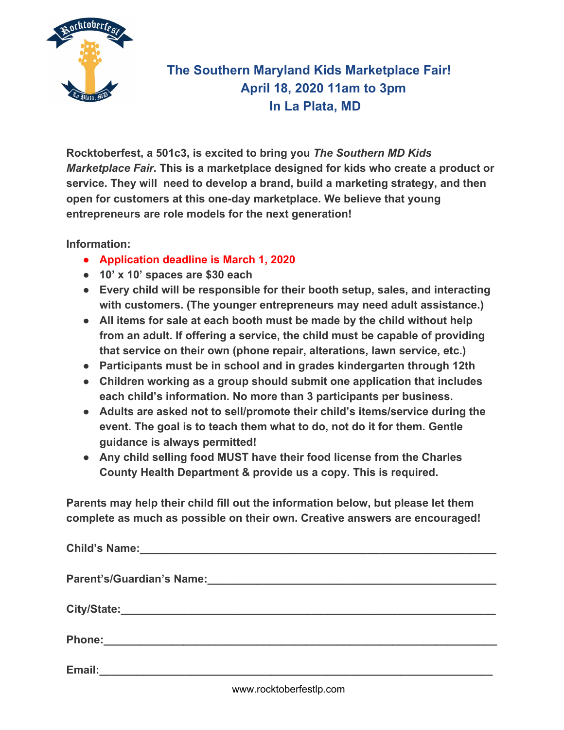

## **The Southern Maryland Kids Marketplace Fair! April 18, 2020 11am to 3pm In La Plata, MD**

**Rocktoberfest, a 501c3, is excited to bring you** *The Southern MD Kids Marketplace Fair***. This is a marketplace designed for kids who create a product or service. They will need to develop a brand, build a marketing strategy, and then open for customers at this one-day marketplace. We believe that young entrepreneurs are role models for the next generation!**

**Information:**

- **● Application deadline is March 1, 2020**
- **● 10' x 10' spaces are \$30 each**
- **● Every child will be responsible for their booth setup, sales, and interacting with customers. (The younger entrepreneurs may need adult assistance.)**
- **● All items for sale at each booth must be made by the child without help from an adult. If offering a service, the child must be capable of providing that service on their own (phone repair, alterations, lawn service, etc.)**
- **● Participants must be in school and in grades kindergarten through 12th**
- **● Children working as a group should submit one application that includes each child's information. No more than 3 participants per business.**
- **● Adults are asked not to sell/promote their child's items/service during the event. The goal is to teach them what to do, not do it for them. Gentle guidance is always permitted!**
- **● Any child selling food MUST have their food license from the Charles County Health Department & provide us a copy. This is required.**

**Parents may help their child fill out the information below, but please let them complete as much as possible on their own. Creative answers are encouraged!**

|        | Child's Name: 2008 2010 2020 2020 2021 2022 2022 2023 2024 2022 2023 2024 2022 2023 2024 2022 2023 2024 2022 20 |  |  |
|--------|-----------------------------------------------------------------------------------------------------------------|--|--|
|        |                                                                                                                 |  |  |
|        |                                                                                                                 |  |  |
|        |                                                                                                                 |  |  |
| Email: |                                                                                                                 |  |  |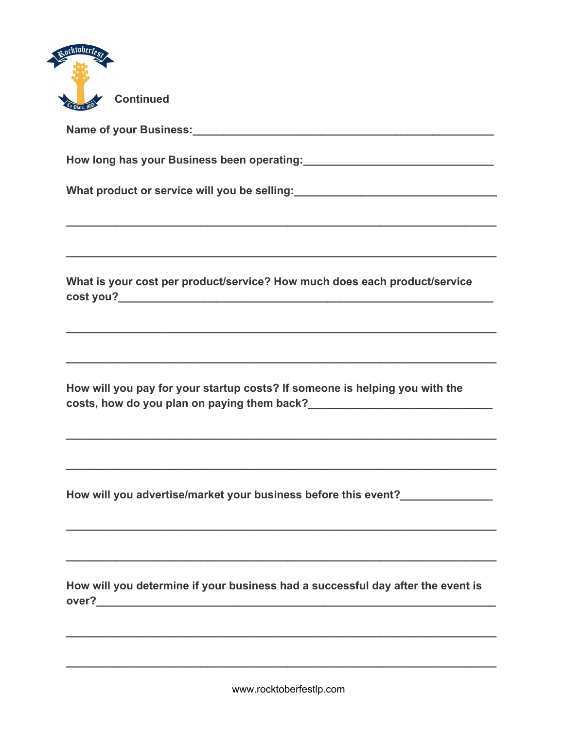

Name of your Business: Name of your Business:

What product or service will you be selling:<br>
What product or service will you be selling:

What is your cost per product/service? How much does each product/service cost you?<br>
<u>cost you?</u>

How will you pay for your startup costs? If someone is helping you with the costs, how do you plan on paying them back?<br>
<u>Letter and the manuscription of them back</u>

How will you advertise/market your business before this event?

How will you determine if your business had a successful day after the event is over? Note that the contract of the contract of the contract of the contract of the contract of the contract of the contract of the contract of the contract of the contract of the contract of the contract of the contract o